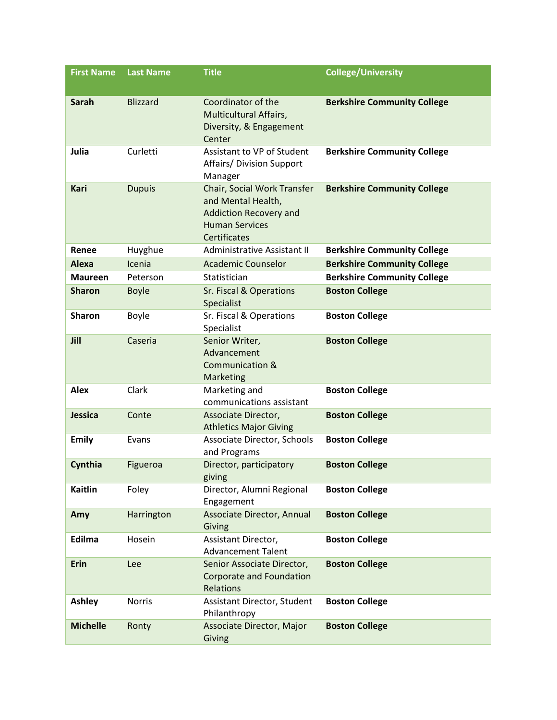| <b>First Name</b> | <b>Last Name</b> | <b>Title</b>                                                                                                                       | <b>College/University</b>          |
|-------------------|------------------|------------------------------------------------------------------------------------------------------------------------------------|------------------------------------|
| <b>Sarah</b>      | <b>Blizzard</b>  | Coordinator of the<br><b>Multicultural Affairs,</b><br>Diversity, & Engagement<br>Center                                           | <b>Berkshire Community College</b> |
| Julia             | Curletti         | Assistant to VP of Student<br>Affairs/ Division Support<br>Manager                                                                 | <b>Berkshire Community College</b> |
| <b>Kari</b>       | <b>Dupuis</b>    | Chair, Social Work Transfer<br>and Mental Health,<br><b>Addiction Recovery and</b><br><b>Human Services</b><br><b>Certificates</b> | <b>Berkshire Community College</b> |
| Renee             | Huyghue          | Administrative Assistant II                                                                                                        | <b>Berkshire Community College</b> |
| Alexa             | Icenia           | <b>Academic Counselor</b>                                                                                                          | <b>Berkshire Community College</b> |
| <b>Maureen</b>    | Peterson         | Statistician                                                                                                                       | <b>Berkshire Community College</b> |
| <b>Sharon</b>     | <b>Boyle</b>     | Sr. Fiscal & Operations<br>Specialist                                                                                              | <b>Boston College</b>              |
| <b>Sharon</b>     | Boyle            | Sr. Fiscal & Operations<br>Specialist                                                                                              | <b>Boston College</b>              |
| Jill              | Caseria          | Senior Writer,<br>Advancement<br>Communication &<br>Marketing                                                                      | <b>Boston College</b>              |
| <b>Alex</b>       | Clark            | Marketing and<br>communications assistant                                                                                          | <b>Boston College</b>              |
| Jessica           | Conte            | Associate Director,<br><b>Athletics Major Giving</b>                                                                               | <b>Boston College</b>              |
| <b>Emily</b>      | Evans            | Associate Director, Schools<br>and Programs                                                                                        | <b>Boston College</b>              |
| Cynthia           | Figueroa         | Director, participatory<br>giving                                                                                                  | <b>Boston College</b>              |
| <b>Kaitlin</b>    | Foley            | Director, Alumni Regional<br>Engagement                                                                                            | <b>Boston College</b>              |
| Amy               | Harrington       | Associate Director, Annual<br>Giving                                                                                               | <b>Boston College</b>              |
| Edilma            | Hosein           | Assistant Director,<br><b>Advancement Talent</b>                                                                                   | <b>Boston College</b>              |
| <b>Erin</b>       | Lee              | Senior Associate Director,<br><b>Corporate and Foundation</b><br>Relations                                                         | <b>Boston College</b>              |
| <b>Ashley</b>     | Norris           | Assistant Director, Student<br>Philanthropy                                                                                        | <b>Boston College</b>              |
| <b>Michelle</b>   | Ronty            | Associate Director, Major<br>Giving                                                                                                | <b>Boston College</b>              |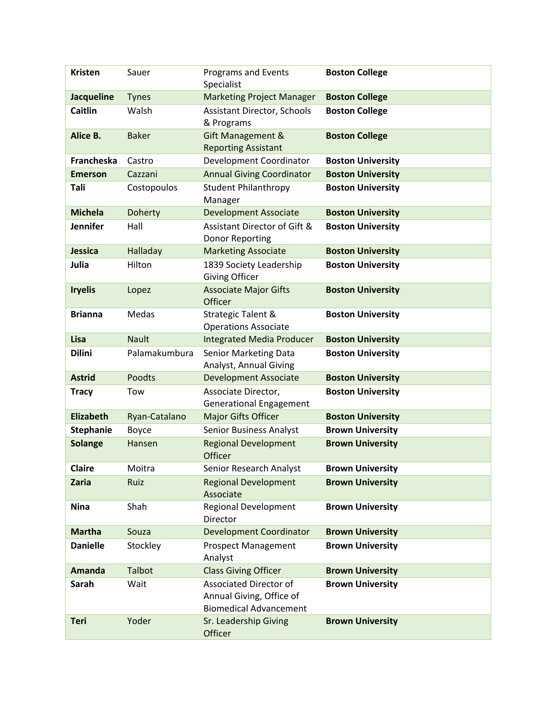| <b>Kristen</b>    | Sauer          | <b>Programs and Events</b><br>Specialist                                                   | <b>Boston College</b>    |
|-------------------|----------------|--------------------------------------------------------------------------------------------|--------------------------|
| <b>Jacqueline</b> | <b>Tynes</b>   | <b>Marketing Project Manager</b>                                                           | <b>Boston College</b>    |
| Caitlin           | Walsh          | Assistant Director, Schools<br>& Programs                                                  | <b>Boston College</b>    |
| Alice B.          | <b>Baker</b>   | Gift Management &<br><b>Reporting Assistant</b>                                            | <b>Boston College</b>    |
| Francheska        | Castro         | Development Coordinator                                                                    | <b>Boston University</b> |
| <b>Emerson</b>    | Cazzani        | <b>Annual Giving Coordinator</b>                                                           | <b>Boston University</b> |
| Tali              | Costopoulos    | <b>Student Philanthropy</b><br>Manager                                                     | <b>Boston University</b> |
| <b>Michela</b>    | <b>Doherty</b> | <b>Development Associate</b>                                                               | <b>Boston University</b> |
| <b>Jennifer</b>   | Hall           | Assistant Director of Gift &<br>Donor Reporting                                            | <b>Boston University</b> |
| Jessica           | Halladay       | <b>Marketing Associate</b>                                                                 | <b>Boston University</b> |
| Julia             | Hilton         | 1839 Society Leadership<br><b>Giving Officer</b>                                           | <b>Boston University</b> |
| <b>Iryelis</b>    | Lopez          | <b>Associate Major Gifts</b><br>Officer                                                    | <b>Boston University</b> |
| <b>Brianna</b>    | Medas          | Strategic Talent &<br><b>Operations Associate</b>                                          | <b>Boston University</b> |
| Lisa              | <b>Nault</b>   | <b>Integrated Media Producer</b>                                                           | <b>Boston University</b> |
| <b>Dilini</b>     | Palamakumbura  | Senior Marketing Data<br>Analyst, Annual Giving                                            | <b>Boston University</b> |
| <b>Astrid</b>     | Poodts         | <b>Development Associate</b>                                                               | <b>Boston University</b> |
| <b>Tracy</b>      | Tow            | Associate Director,<br><b>Generational Engagement</b>                                      | <b>Boston University</b> |
| <b>Elizabeth</b>  | Ryan-Catalano  | Major Gifts Officer                                                                        | <b>Boston University</b> |
| <b>Stephanie</b>  | Boyce          | <b>Senior Business Analyst</b>                                                             | <b>Brown University</b>  |
| <b>Solange</b>    | Hansen         | <b>Regional Development</b><br>Officer                                                     | <b>Brown University</b>  |
| Claire            | Moitra         | Senior Research Analyst                                                                    | <b>Brown University</b>  |
| Zaria             | Ruiz           | <b>Regional Development</b><br>Associate                                                   | <b>Brown University</b>  |
| <b>Nina</b>       | Shah           | <b>Regional Development</b><br>Director                                                    | <b>Brown University</b>  |
| <b>Martha</b>     | Souza          | <b>Development Coordinator</b>                                                             | <b>Brown University</b>  |
| <b>Danielle</b>   | Stockley       | <b>Prospect Management</b><br>Analyst                                                      | <b>Brown University</b>  |
| <b>Amanda</b>     | Talbot         | <b>Class Giving Officer</b>                                                                | <b>Brown University</b>  |
| Sarah             | Wait           | <b>Associated Director of</b><br>Annual Giving, Office of<br><b>Biomedical Advancement</b> | <b>Brown University</b>  |
| <b>Teri</b>       | Yoder          | Sr. Leadership Giving<br>Officer                                                           | <b>Brown University</b>  |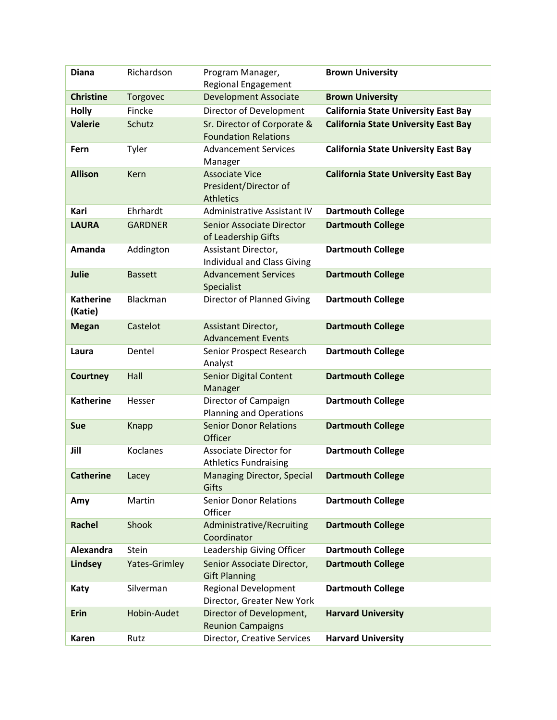| <b>Diana</b>                | Richardson           | Program Manager,<br><b>Regional Engagement</b>                     | <b>Brown University</b>                     |
|-----------------------------|----------------------|--------------------------------------------------------------------|---------------------------------------------|
| <b>Christine</b>            | Torgovec             | <b>Development Associate</b>                                       | <b>Brown University</b>                     |
| <b>Holly</b>                | Fincke               | Director of Development                                            | <b>California State University East Bay</b> |
| <b>Valerie</b>              | Schutz               | Sr. Director of Corporate &<br><b>Foundation Relations</b>         | <b>California State University East Bay</b> |
| Fern                        | Tyler                | <b>Advancement Services</b><br>Manager                             | <b>California State University East Bay</b> |
| <b>Allison</b>              | Kern                 | <b>Associate Vice</b><br>President/Director of<br><b>Athletics</b> | <b>California State University East Bay</b> |
| Kari                        | Ehrhardt             | Administrative Assistant IV                                        | <b>Dartmouth College</b>                    |
| <b>LAURA</b>                | <b>GARDNER</b>       | Senior Associate Director<br>of Leadership Gifts                   | <b>Dartmouth College</b>                    |
| Amanda                      | Addington            | Assistant Director,<br><b>Individual and Class Giving</b>          | <b>Dartmouth College</b>                    |
| Julie                       | <b>Bassett</b>       | <b>Advancement Services</b><br>Specialist                          | <b>Dartmouth College</b>                    |
| <b>Katherine</b><br>(Katie) | Blackman             | Director of Planned Giving                                         | <b>Dartmouth College</b>                    |
| <b>Megan</b>                | Castelot             | Assistant Director,<br><b>Advancement Events</b>                   | <b>Dartmouth College</b>                    |
| Laura                       | Dentel               | Senior Prospect Research<br>Analyst                                | <b>Dartmouth College</b>                    |
| <b>Courtney</b>             | Hall                 | <b>Senior Digital Content</b><br>Manager                           | <b>Dartmouth College</b>                    |
| <b>Katherine</b>            | Hesser               | Director of Campaign<br><b>Planning and Operations</b>             | <b>Dartmouth College</b>                    |
| Sue                         | <b>Knapp</b>         | <b>Senior Donor Relations</b><br>Officer                           | <b>Dartmouth College</b>                    |
| Jill                        | <b>Koclanes</b>      | <b>Associate Director for</b><br><b>Athletics Fundraising</b>      | <b>Dartmouth College</b>                    |
| <b>Catherine</b>            | Lacey                | <b>Managing Director, Special</b><br>Gifts                         | <b>Dartmouth College</b>                    |
| Amy                         | Martin               | <b>Senior Donor Relations</b><br>Officer                           | <b>Dartmouth College</b>                    |
| <b>Rachel</b>               | Shook                | Administrative/Recruiting<br>Coordinator                           | <b>Dartmouth College</b>                    |
| Alexandra                   | Stein                | Leadership Giving Officer                                          | <b>Dartmouth College</b>                    |
| <b>Lindsey</b>              | <b>Yates-Grimley</b> | Senior Associate Director,<br><b>Gift Planning</b>                 | <b>Dartmouth College</b>                    |
| Katy                        | Silverman            | <b>Regional Development</b><br>Director, Greater New York          | <b>Dartmouth College</b>                    |
| <b>Erin</b>                 | Hobin-Audet          | Director of Development,<br><b>Reunion Campaigns</b>               | <b>Harvard University</b>                   |
| Karen                       | Rutz                 | Director, Creative Services                                        | <b>Harvard University</b>                   |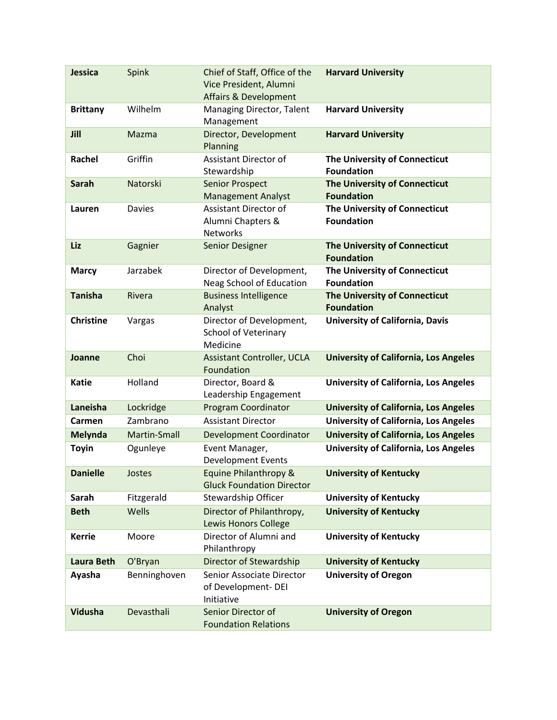| Jessica           | Spink         | Chief of Staff, Office of the<br>Vice President, Alumni<br><b>Affairs &amp; Development</b> | <b>Harvard University</b>                          |
|-------------------|---------------|---------------------------------------------------------------------------------------------|----------------------------------------------------|
| <b>Brittany</b>   | Wilhelm       | Managing Director, Talent<br>Management                                                     | <b>Harvard University</b>                          |
| Jill              | Mazma         | Director, Development<br>Planning                                                           | <b>Harvard University</b>                          |
| Rachel            | Griffin       | Assistant Director of<br>Stewardship                                                        | The University of Connecticut<br><b>Foundation</b> |
| <b>Sarah</b>      | Natorski      | <b>Senior Prospect</b><br><b>Management Analyst</b>                                         | The University of Connecticut<br><b>Foundation</b> |
| Lauren            | <b>Davies</b> | Assistant Director of<br>Alumni Chapters &<br>Networks                                      | The University of Connecticut<br><b>Foundation</b> |
| Liz               | Gagnier       | Senior Designer                                                                             | The University of Connecticut<br><b>Foundation</b> |
| <b>Marcy</b>      | Jarzabek      | Director of Development,<br>Neag School of Education                                        | The University of Connecticut<br><b>Foundation</b> |
| <b>Tanisha</b>    | <b>Rivera</b> | <b>Business Intelligence</b><br>Analyst                                                     | The University of Connecticut<br><b>Foundation</b> |
| <b>Christine</b>  | Vargas        | Director of Development,<br>School of Veterinary<br>Medicine                                | <b>University of California, Davis</b>             |
| Joanne            | Choi          | <b>Assistant Controller, UCLA</b><br>Foundation                                             | <b>University of California, Los Angeles</b>       |
| Katie             | Holland       | Director, Board &<br>Leadership Engagement                                                  | <b>University of California, Los Angeles</b>       |
| Laneisha          | Lockridge     | <b>Program Coordinator</b>                                                                  | <b>University of California, Los Angeles</b>       |
| Carmen            | Zambrano      | <b>Assistant Director</b>                                                                   | <b>University of California, Los Angeles</b>       |
| <b>Melynda</b>    | Martin-Small  | <b>Development Coordinator</b>                                                              | <b>University of California, Los Angeles</b>       |
| <b>Toyin</b>      | Ogunleye      | Event Manager,<br><b>Development Events</b>                                                 | <b>University of California, Los Angeles</b>       |
| <b>Danielle</b>   | Jostes        | Equine Philanthropy &<br><b>Gluck Foundation Director</b>                                   | <b>University of Kentucky</b>                      |
| Sarah             | Fitzgerald    | Stewardship Officer                                                                         | <b>University of Kentucky</b>                      |
| <b>Beth</b>       | Wells         | Director of Philanthropy,<br><b>Lewis Honors College</b>                                    | <b>University of Kentucky</b>                      |
| <b>Kerrie</b>     | Moore         | Director of Alumni and<br>Philanthropy                                                      | <b>University of Kentucky</b>                      |
| <b>Laura Beth</b> | O'Bryan       | Director of Stewardship                                                                     | <b>University of Kentucky</b>                      |
| Ayasha            | Benninghoven  | Senior Associate Director<br>of Development-DEI<br>Initiative                               | <b>University of Oregon</b>                        |
| Vidusha           | Devasthali    | Senior Director of<br><b>Foundation Relations</b>                                           | <b>University of Oregon</b>                        |